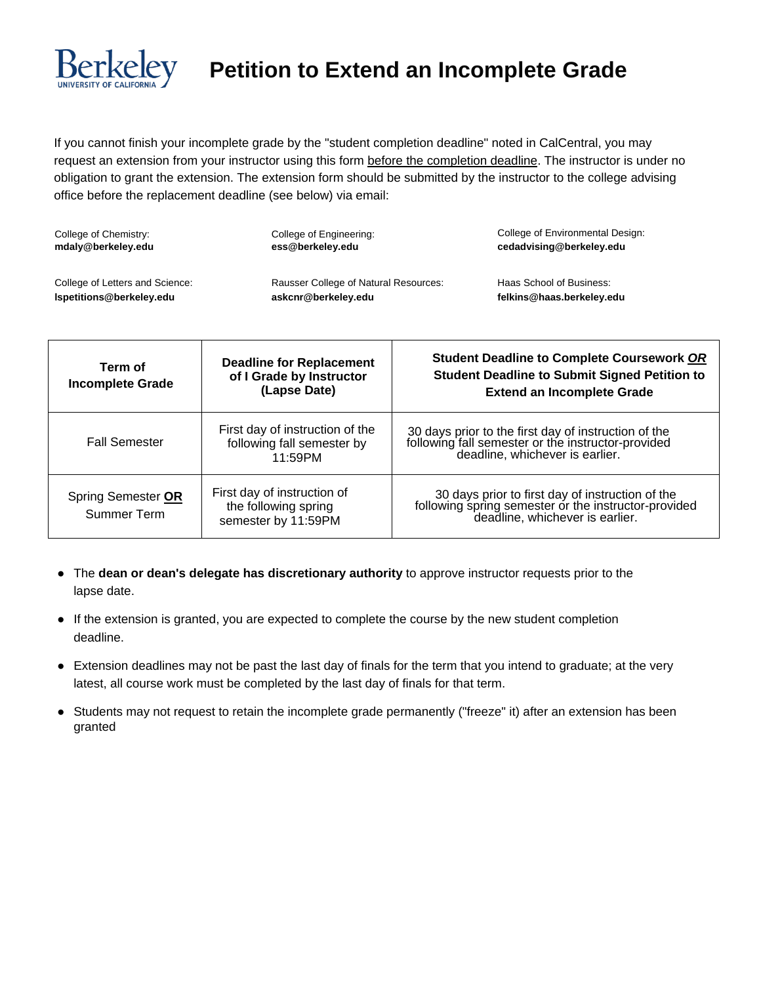

# **Petition to Extend an Incomplete Grade**

If you cannot finish your incomplete grade by the "student completion deadline" noted in CalCentral, you may request an extension from your instructor using this form before the completion deadline. The instructor is under no obligation to grant the extension. The extension form should be submitted by the instructor to the college advising office before the replacement deadline (see below) via email:

| College of Chemistry:           | College of Engineering:                      | College of Environmental Design: |
|---------------------------------|----------------------------------------------|----------------------------------|
| mdaly@berkeley.edu              | ess@berkeley.edu                             | cedadvising@berkeley.edu         |
| College of Letters and Science: | <b>Rausser College of Natural Resources:</b> | Haas School of Business:         |
| Ispetitions@berkeley.edu        | askcnr@berkeley.edu                          | felkins@haas.berkeley.edu        |

| Term of<br><b>Incomplete Grade</b> | <b>Deadline for Replacement</b><br>of I Grade by Instructor<br>(Lapse Date) | <b>Student Deadline to Complete Coursework OR</b><br><b>Student Deadline to Submit Signed Petition to</b><br><b>Extend an Incomplete Grade</b> |
|------------------------------------|-----------------------------------------------------------------------------|------------------------------------------------------------------------------------------------------------------------------------------------|
| <b>Fall Semester</b>               | First day of instruction of the<br>following fall semester by<br>11:59PM    | 30 days prior to the first day of instruction of the<br>following fall semester or the instructor-provided<br>deadline, whichever is earlier.  |
| Spring Semester OR<br>Summer Term  | First day of instruction of<br>the following spring<br>semester by 11:59PM  | 30 days prior to first day of instruction of the<br>following spring semester or the instructor-provided<br>deadline, whichever is earlier.    |

- The **dean or dean's delegate has discretionary authority** to approve instructor requests prior to the lapse date.
- If the extension is granted, you are expected to complete the course by the new student completion deadline.
- Extension deadlines may not be past the last day of finals for the term that you intend to graduate; at the very latest, all course work must be completed by the last day of finals for that term.
- Students may not request to retain the incomplete grade permanently ("freeze" it) after an extension has been granted